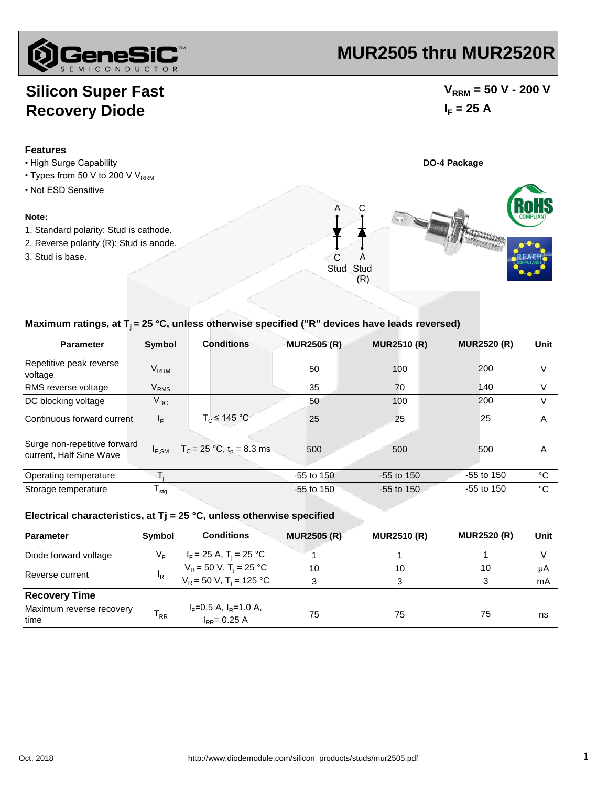

# **MUR2505 thru MUR2520R**

## **Silicon Super Fast Recovery Diode**

### $V_{\text{RRM}}$  = 50 V - 200 V  $I_F = 25 A$

## **Features**

- Types from 50 V to 200 V  $V_{RRM}$
- Not ESD Sensitive
- 

#### **Note:**

- 1. Standard polarity: Stud is cathode.
- 2. Reverse polarity (R): Stud is anode.
- 3. Stud is base.



#### Maximum ratings, at T<sub>i</sub> = 25 °C, unless otherwise specified ("R" devices have leads reversed)

| <b>Parameter</b>                                        | <b>Symbol</b>          | <b>Conditions</b>              | <b>MUR2505 (R)</b> | <b>MUR2510 (R)</b> | <b>MUR2520 (R)</b> | Unit |
|---------------------------------------------------------|------------------------|--------------------------------|--------------------|--------------------|--------------------|------|
| Repetitive peak reverse<br>voltage                      | $\rm V_{RRM}$          |                                | 50                 | 100                | 200                | V    |
| RMS reverse voltage                                     | <b>V<sub>RMS</sub></b> |                                | 35                 | 70                 | 140                | V    |
| DC blocking voltage                                     | $V_{DC}$               |                                | 50                 | 100                | 200                | V    |
| Continuous forward current                              | $I_F$                  | $T_c \leq 145 °C$              | 25                 | 25                 | 25                 | A    |
| Surge non-repetitive forward<br>current, Half Sine Wave | $I_{F,SM}$             | $T_c = 25 °C$ , $t_p = 8.3$ ms | 500                | 500                | 500                | A    |
| Operating temperature                                   |                        |                                | $-55$ to 150       | $-55$ to 150       | $-55$ to 150       | °C   |
| Storage temperature                                     | $T_{\text{stg}}$       |                                | $-55$ to $150$     | $-55$ to 150       | $-55$ to 150       | °C   |

#### **Electrical characteristics, at Tj = 25 °C, unless otherwise specified**

| <b>Parameter</b>                 | Symbol         | <b>Conditions</b>                            | <b>MUR2505 (R)</b> | <b>MUR2510 (R)</b> | <b>MUR2520 (R)</b> | Unit |
|----------------------------------|----------------|----------------------------------------------|--------------------|--------------------|--------------------|------|
| Diode forward voltage            | V⊧             | $I_F = 25 A$ , $T_i = 25 °C$                 |                    |                    |                    |      |
| Reverse current                  | <sup>I</sup> R | $V_R$ = 50 V, T <sub>i</sub> = 25 °C         | 10                 | 10                 | 10                 | μA   |
|                                  |                | $V_R = 50 V$ , T <sub>i</sub> = 125 °C       | 3                  | 3                  | 3                  | mA   |
| <b>Recovery Time</b>             |                |                                              |                    |                    |                    |      |
| Maximum reverse recovery<br>time | $T_{RR}$       | $I_F=0.5$ A, $I_R=1.0$ A,<br>$I_{RR}=0.25$ A | 75                 | 75                 | 75                 | ns   |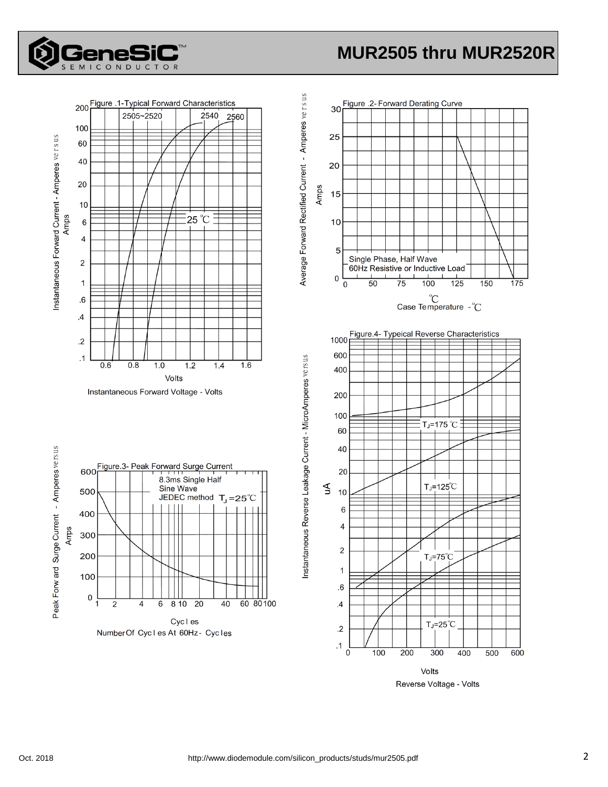

# **MUR2505 thru MUR2520R**



Volts Reverse Voltage - Volts